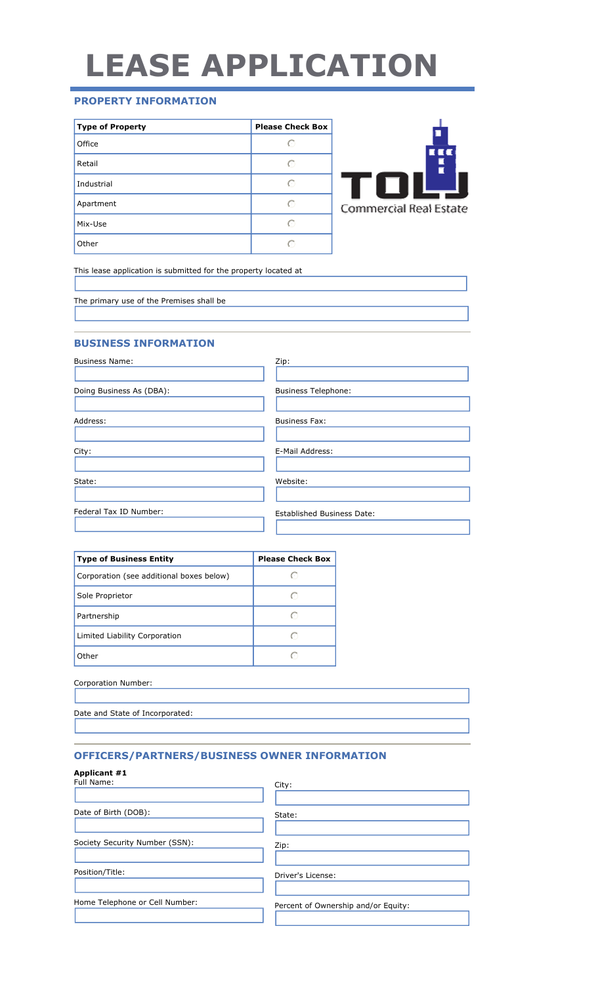# LEASE APPLICATION

# PROPERTY INFORMATION

| <b>Type of Property</b> | <b>Please Check Box</b> |
|-------------------------|-------------------------|
| Office                  | $\left( \cdot \right)$  |
| Retail                  | ∩                       |
| Industrial              |                         |
| Apartment               | ◯                       |
| Mix-Use                 | G                       |
| Other                   |                         |

This lease application is submitted for the property located at

The primary use of the Premises shall be

## BUSINESS INFORMATION

| <b>Business Name:</b>    | Zip:                              |
|--------------------------|-----------------------------------|
| Doing Business As (DBA): | <b>Business Telephone:</b>        |
| Address:                 | <b>Business Fax:</b>              |
| City:                    | E-Mail Address:                   |
| State:                   | Website:                          |
| Federal Tax ID Number:   | <b>Established Business Date:</b> |

| <b>Type of Business Entity</b>           | <b>Please Check Box</b> |
|------------------------------------------|-------------------------|
| Corporation (see additional boxes below) | C.                      |
| Sole Proprietor                          | $(\cdot)$               |
| Partnership                              | €                       |
| Limited Liability Corporation            |                         |
| Other                                    | c.                      |

|--|

|--|

## OFFICERS/PARTNERS/BUSINESS OWNER INFORMATION

| Applicant #1<br>Full Name:     | City:                               |
|--------------------------------|-------------------------------------|
| Date of Birth (DOB):           | State:                              |
| Society Security Number (SSN): | Zip:                                |
| Position/Title:                | Driver's License:                   |
| Home Telephone or Cell Number: | Percent of Ownership and/or Equity: |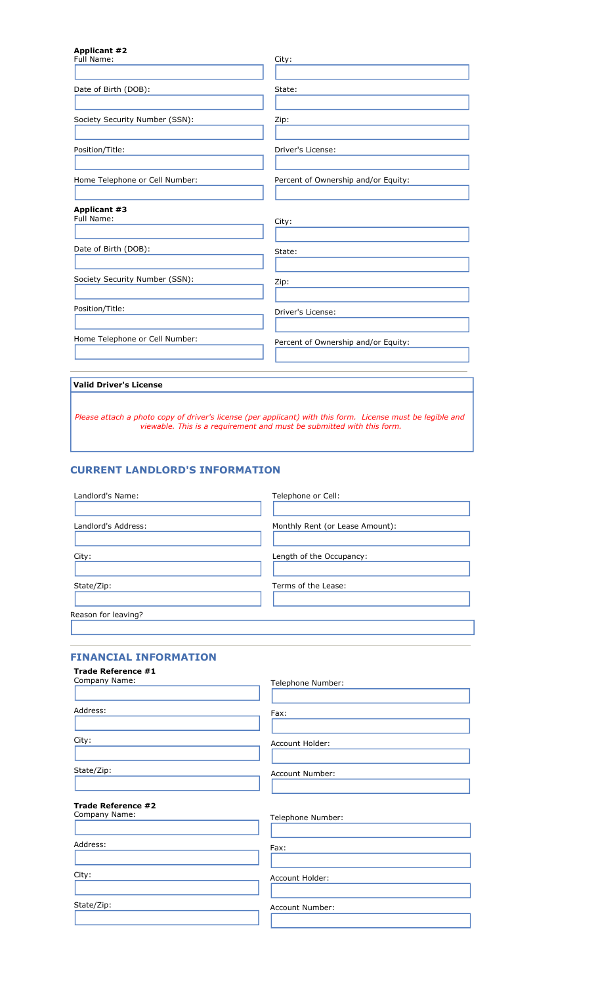| <b>Applicant #2</b><br>Full Name: | City:                                                                                                      |
|-----------------------------------|------------------------------------------------------------------------------------------------------------|
| Date of Birth (DOB):              | State:                                                                                                     |
| Society Security Number (SSN):    | Zip:                                                                                                       |
| Position/Title:                   | Driver's License:                                                                                          |
| Home Telephone or Cell Number:    | Percent of Ownership and/or Equity:                                                                        |
| <b>Applicant #3</b><br>Full Name: | City:                                                                                                      |
| Date of Birth (DOB):              | State:                                                                                                     |
| Society Security Number (SSN):    | Zip:                                                                                                       |
| Position/Title:                   | Driver's License:                                                                                          |
| Home Telephone or Cell Number:    | Percent of Ownership and/or Equity:                                                                        |
| <b>Valid Driver's License</b>     |                                                                                                            |
|                                   | Please attach a photo copy of driver's license (per applicant) with this form. License must be legible and |

## CURRENT LANDLORD'S INFORMATION

| Landlord's Name:    | Telephone or Cell:              |
|---------------------|---------------------------------|
|                     |                                 |
| Landlord's Address: | Monthly Rent (or Lease Amount): |
|                     |                                 |
| City:               | Length of the Occupancy:        |
|                     |                                 |
| State/Zip:          | Terms of the Lease:             |
|                     |                                 |
| Reason for leaving? |                                 |

viewable. This is a requirement and must be submitted with this form.

#### FINANCIAL INFORMATION

| Telephone Number: |
|-------------------|
| Fax:              |
| Account Holder:   |
| Account Number:   |
|                   |
| Telephone Number: |
| Fax:              |
| Account Holder:   |
| Account Number:   |
|                   |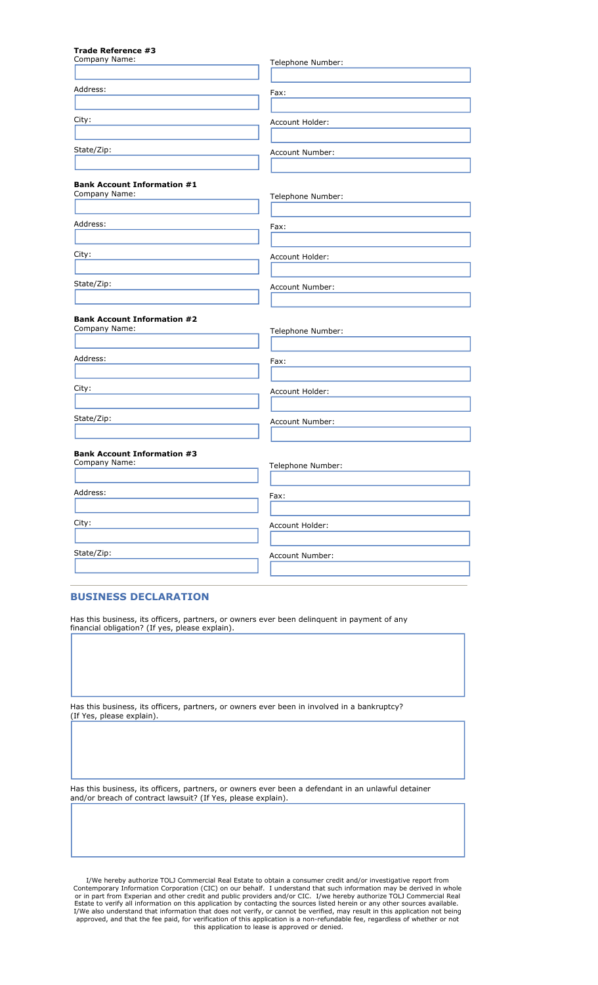#### Trade Reference #3

| Company Name:                                       | Telephone Number: |
|-----------------------------------------------------|-------------------|
| Address:                                            | Fax:              |
|                                                     |                   |
| City:                                               | Account Holder:   |
| State/Zip:                                          | Account Number:   |
| <b>Bank Account Information #1</b><br>Company Name: | Telephone Number: |
|                                                     |                   |
| Address:                                            | Fax:              |
| City:                                               | Account Holder:   |
| State/Zip:                                          | Account Number:   |
| <b>Bank Account Information #2</b><br>Company Name: | Telephone Number: |
| Address:                                            | Fax:              |
| City:                                               | Account Holder:   |
| State/Zip:                                          | Account Number:   |
| <b>Bank Account Information #3</b><br>Company Name: | Telephone Number: |
| Address:                                            | Fax:              |
| City:                                               | Account Holder:   |
| State/Zip:                                          | Account Number:   |
|                                                     |                   |

#### BUSINESS DECLARATION

Has this business, its officers, partners, or owners ever been delinquent in payment of any financial obligation? (If yes, please explain).

Has this business, its officers, partners, or owners ever been in involved in a bankruptcy? (If Yes, please explain).

Has this business, its officers, partners, or owners ever been a defendant in an unlawful detainer and/or breach of contract lawsuit? (If Yes, please explain).

I/We hereby authorize TOLJ Commercial Real Estate to obtain a consumer credit and/or investigative report from<br>Contemporary Information Corporation (CIC) on our behalf. I understand that such information may be derived in